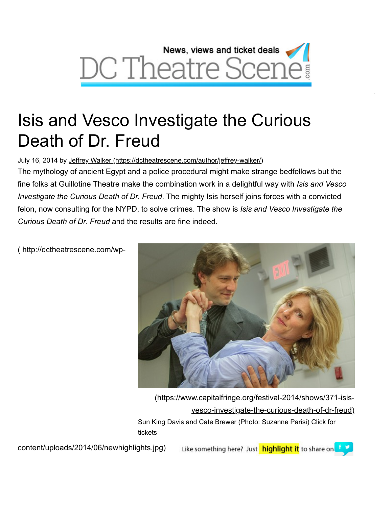

# Isis and Vesco Investigate the Curious Death of Dr. Freud

July 16, 2014 by [Jeffrey Walker \(https://dctheatrescene.com/author/jeffrey-walker/\)](https://dctheatrescene.com/author/jeffrey-walker/)

The mythology of ancient Egypt and a police procedural might make strange bedfellows but the fine folks at Guillotine Theatre make the combination work in a delightful way with *Isis and Vesco Investigate the Curious Death of Dr. Freud*. The mighty Isis herself joins forces with a convicted felon, now consulting for the NYPD, to solve crimes. The show is *Isis and Vesco Investigate the Curious Death of Dr. Freud* and the results are fine indeed.

( http://dctheatrescene.com/wp-



W

[\(https://www.capitalfringe.org/festival-2014/shows/371-isis](https://www.capitalfringe.org/festival-2014/shows/371-isis-vesco-investigate-the-curious-death-of-dr-freud)vesco-investigate-the-curious-death-of-dr-freud) Sun King Davis and Cate Brewer (Photo: Suzanne Parisi) Click for tickets

content/uploads/2014/06/newhighlights.jpg)

Like something here? Just highlight it to share on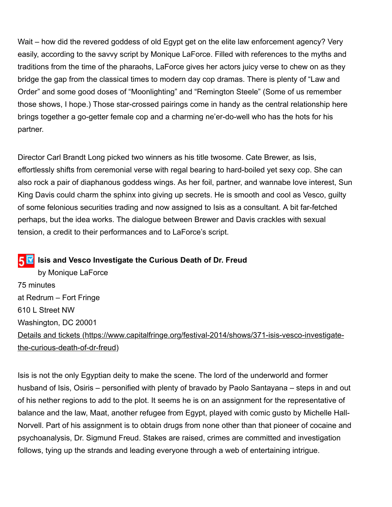Wait – how did the revered goddess of old Egypt get on the elite law enforcement agency? Very easily, according to the savvy script by Monique LaForce. Filled with references to the myths and traditions from the time of the pharaohs, LaForce gives her actors juicy verse to chew on as they bridge the gap from the classical times to modern day cop dramas. There is plenty of "Law and Order" and some good doses of "Moonlighting" and "Remington Steele" (Some of us remember those shows, I hope.) Those star-crossed pairings come in handy as the central relationship here brings together a go-getter female cop and a charming ne'er-do-well who has the hots for his partner.

Director Carl Brandt Long picked two winners as his title twosome. Cate Brewer, as Isis, effortlessly shifts from ceremonial verse with regal bearing to hard-boiled yet sexy cop. She can also rock a pair of diaphanous goddess wings. As her foil, partner, and wannabe love interest, Sun King Davis could charm the sphinx into giving up secrets. He is smooth and cool as Vesco, guilty of some felonious securities trading and now assigned to Isis as a consultant. A bit far-fetched perhaps, but the idea works. The dialogue between Brewer and Davis crackles with sexual tension, a credit to their performances and to LaForce's script.

#### **IS** Isis and Vesco Investigate the Curious Death of Dr. Freud

by Monique LaForce 75 minutes at Redrum – Fort Fringe 610 L Street NW Washington, DC 20001 [Details and tickets \(https://www.capitalfringe.org/festival-2014/shows/371-isis-vesco-investigate](https://www.capitalfringe.org/festival-2014/shows/371-isis-vesco-investigate-the-curious-death-of-dr-freud)the-curious-death-of-dr-freud)

Isis is not the only Egyptian deity to make the scene. The lord of the underworld and former husband of Isis, Osiris – personified with plenty of bravado by Paolo Santayana – steps in and out of his nether regions to add to the plot. It seems he is on an assignment for the representative of balance and the law, Maat, another refugee from Egypt, played with comic gusto by Michelle Hall-Norvell. Part of his assignment is to obtain drugs from none other than that pioneer of cocaine and psychoanalysis, Dr. Sigmund Freud. Stakes are raised, crimes are committed and investigation follows, tying up the strands and leading everyone through a web of entertaining intrigue.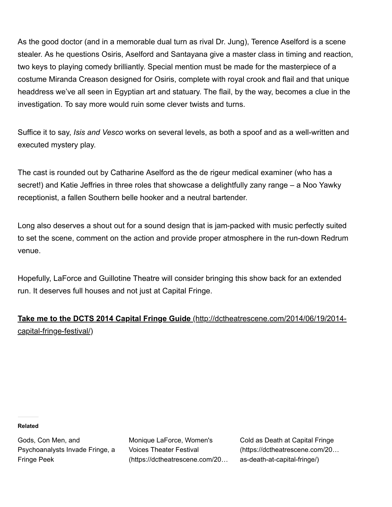As the good doctor (and in a memorable dual turn as rival Dr. Jung), Terence Aselford is a scene stealer. As he questions Osiris, Aselford and Santayana give a master class in timing and reaction, two keys to playing comedy brilliantly. Special mention must be made for the masterpiece of a costume Miranda Creason designed for Osiris, complete with royal crook and flail and that unique headdress we've all seen in Egyptian art and statuary. The flail, by the way, becomes a clue in the investigation. To say more would ruin some clever twists and turns.

Suffice it to say, *Isis and Vesco* works on several levels, as both a spoof and as a well-written and executed mystery play.

The cast is rounded out by Catharine Aselford as the de rigeur medical examiner (who has a secret!) and Katie Jeffries in three roles that showcase a delightfully zany range – a Noo Yawky receptionist, a fallen Southern belle hooker and a neutral bartender.

Long also deserves a shout out for a sound design that is jam-packed with music perfectly suited to set the scene, comment on the action and provide proper atmosphere in the run-down Redrum venue.

Hopefully, LaForce and Guillotine Theatre will consider bringing this show back for an extended run. It deserves full houses and not just at Capital Fringe.

### **[Take me to the DCTS 2014 Capital Fringe Guide](http://dctheatrescene.com/2014/06/19/2014-capital-fringe-festival/)** (http://dctheatrescene.com/2014/06/19/2014 capital-fringe-festival/)

#### **Related**

Gods, Con Men, and [Psychoanalysts Invade Fringe, a](https://dctheatrescene.com/2014/06/27/gods-con-men-psychoanalysts-invade-fringe-fringe-peek/) Fringe Peek

Monique LaForce, Women's Voices Theater Festival [\(https://dctheatrescene.com/20…](https://dctheatrescene.com/2015/09/29/monique-laforce-womens-voices-theater-festival/) Cold as Death at Capital Fringe [\(https://dctheatrescene.com/20…](https://dctheatrescene.com/2015/07/13/cold-as-death-at-capital-fringe/) as-death-at-capital-fringe/)